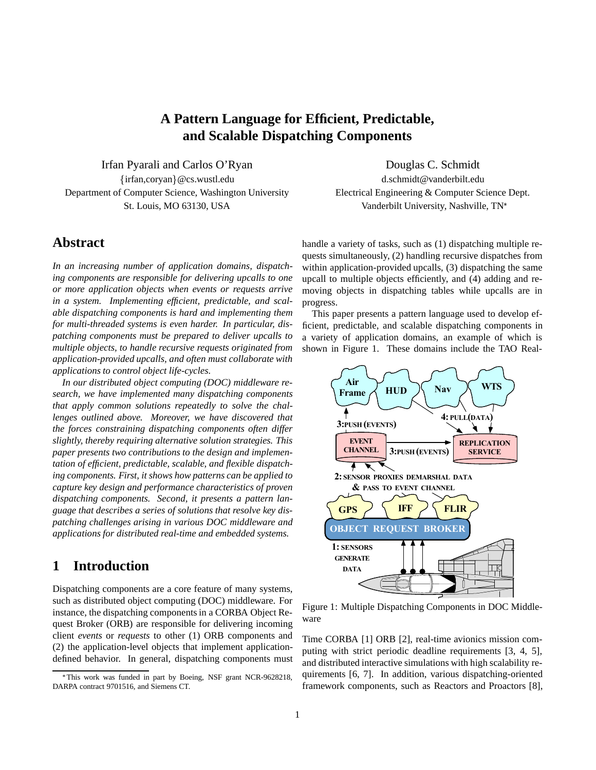## **A Pattern Language for Efficient, Predictable, and Scalable Dispatching Components**

Irfan Pyarali and Carlos O'Ryan Douglas C. Schmidt firfan,coryang@cs.wustl.edu d.schmidt@vanderbilt.edu Department of Computer Science, Washington University Electrical Engineering & Computer Science Dept.

## **Abstract**

*In an increasing number of application domains, dispatching components are responsible for delivering upcalls to one or more application objects when events or requests arrive in a system. Implementing efficient, predictable, and scalable dispatching components is hard and implementing them for multi-threaded systems is even harder. In particular, dispatching components must be prepared to deliver upcalls to multiple objects, to handle recursive requests originated from application-provided upcalls, and often must collaborate with applications to control object life-cycles.*

*In our distributed object computing (DOC) middleware research, we have implemented many dispatching components that apply common solutions repeatedly to solve the challenges outlined above. Moreover, we have discovered that the forces constraining dispatching components often differ slightly, thereby requiring alternative solution strategies. This paper presents two contributions to the design and implementation of efficient, predictable, scalable, and flexible dispatching components. First, it shows how patterns can be applied to capture key design and performance characteristics of proven dispatching components. Second, it presents a pattern language that describes a series of solutions that resolve key dispatching challenges arising in various DOC middleware and applications for distributed real-time and embedded systems.*

## **1 Introduction**

Dispatching components are a core feature of many systems, such as distributed object computing (DOC) middleware. For instance, the dispatching components in a CORBA Object Request Broker (ORB) are responsible for delivering incoming client *events* or *requests* to other (1) ORB components and (2) the application-level objects that implement applicationdefined behavior. In general, dispatching components must

St. Louis, MO 63130, USA Vanderbilt University, Nashville, TN<sup>\*</sup>

handle a variety of tasks, such as (1) dispatching multiple requests simultaneously, (2) handling recursive dispatches from within application-provided upcalls, (3) dispatching the same upcall to multiple objects efficiently, and (4) adding and removing objects in dispatching tables while upcalls are in progress.

This paper presents a pattern language used to develop efficient, predictable, and scalable dispatching components in a variety of application domains, an example of which is shown in Figure 1. These domains include the TAO Real-



Figure 1: Multiple Dispatching Components in DOC Middleware

Time CORBA [1] ORB [2], real-time avionics mission computing with strict periodic deadline requirements [3, 4, 5], and distributed interactive simulations with high scalability requirements [6, 7]. In addition, various dispatching-oriented framework components, such as Reactors and Proactors [8],

This work was funded in part by Boeing, NSF grant NCR-9628218, DARPA contract 9701516, and Siemens CT.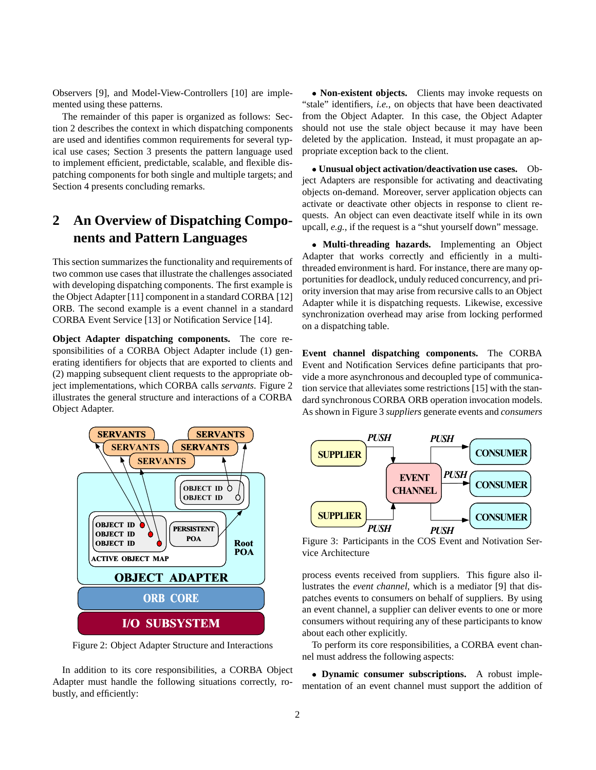Observers [9], and Model-View-Controllers [10] are implemented using these patterns.

The remainder of this paper is organized as follows: Section 2 describes the context in which dispatching components are used and identifies common requirements for several typical use cases; Section 3 presents the pattern language used to implement efficient, predictable, scalable, and flexible dispatching components for both single and multiple targets; and Section 4 presents concluding remarks.

# **2 An Overview of Dispatching Components and Pattern Languages**

This section summarizes the functionality and requirements of two common use cases that illustrate the challenges associated with developing dispatching components. The first example is the Object Adapter [11] component in a standard CORBA [12] ORB. The second example is a event channel in a standard CORBA Event Service [13] or Notification Service [14].

**Object Adapter dispatching components.** The core responsibilities of a CORBA Object Adapter include (1) generating identifiers for objects that are exported to clients and (2) mapping subsequent client requests to the appropriate object implementations, which CORBA calls *servants*. Figure 2 illustrates the general structure and interactions of a CORBA Object Adapter.



Figure 2: Object Adapter Structure and Interactions

In addition to its core responsibilities, a CORBA Object Adapter must handle the following situations correctly, robustly, and efficiently:

 **Non-existent objects.** Clients may invoke requests on "stale" identifiers, *i.e.*, on objects that have been deactivated from the Object Adapter. In this case, the Object Adapter should not use the stale object because it may have been deleted by the application. Instead, it must propagate an appropriate exception back to the client.

 **Unusual object activation/deactivation use cases.** Object Adapters are responsible for activating and deactivating objects on-demand. Moreover, server application objects can activate or deactivate other objects in response to client requests. An object can even deactivate itself while in its own upcall, *e.g.*, if the request is a "shut yourself down" message.

 **Multi-threading hazards.** Implementing an Object Adapter that works correctly and efficiently in a multithreaded environment is hard. For instance, there are many opportunities for deadlock, unduly reduced concurrency, and priority inversion that may arise from recursive calls to an Object Adapter while it is dispatching requests. Likewise, excessive synchronization overhead may arise from locking performed on a dispatching table.

**Event channel dispatching components.** The CORBA Event and Notification Services define participants that provide a more asynchronous and decoupled type of communication service that alleviates some restrictions [15] with the standard synchronous CORBA ORB operation invocation models. As shown in Figure 3 *suppliers* generate events and *consumers*



Figure 3: Participants in the COS Event and Notivation Service Architecture

process events received from suppliers. This figure also illustrates the *event channel*, which is a mediator [9] that dispatches events to consumers on behalf of suppliers. By using an event channel, a supplier can deliver events to one or more consumers without requiring any of these participants to know about each other explicitly.

To perform its core responsibilities, a CORBA event channel must address the following aspects:

 **Dynamic consumer subscriptions.** A robust implementation of an event channel must support the addition of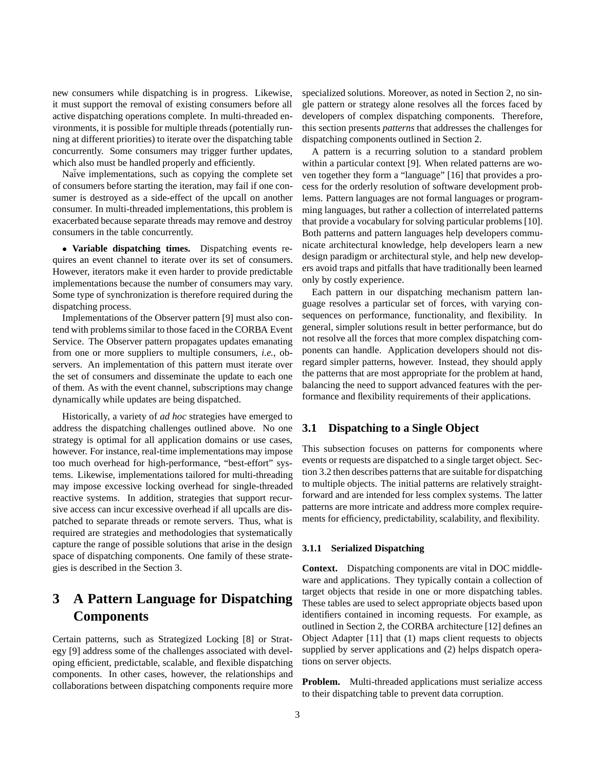new consumers while dispatching is in progress. Likewise, it must support the removal of existing consumers before all active dispatching operations complete. In multi-threaded environments, it is possible for multiple threads (potentially running at different priorities) to iterate over the dispatching table concurrently. Some consumers may trigger further updates, which also must be handled properly and efficiently.

Naive implementations, such as copying the complete set of consumers before starting the iteration, may fail if one consumer is destroyed as a side-effect of the upcall on another consumer. In multi-threaded implementations, this problem is exacerbated because separate threads may remove and destroy consumers in the table concurrently.

 **Variable dispatching times.** Dispatching events requires an event channel to iterate over its set of consumers. However, iterators make it even harder to provide predictable implementations because the number of consumers may vary. Some type of synchronization is therefore required during the dispatching process.

Implementations of the Observer pattern [9] must also contend with problems similar to those faced in the CORBA Event Service. The Observer pattern propagates updates emanating from one or more suppliers to multiple consumers, *i.e.*, observers. An implementation of this pattern must iterate over the set of consumers and disseminate the update to each one of them. As with the event channel, subscriptions may change dynamically while updates are being dispatched.

Historically, a variety of *ad hoc* strategies have emerged to address the dispatching challenges outlined above. No one strategy is optimal for all application domains or use cases, however. For instance, real-time implementations may impose too much overhead for high-performance, "best-effort" systems. Likewise, implementations tailored for multi-threading may impose excessive locking overhead for single-threaded reactive systems. In addition, strategies that support recursive access can incur excessive overhead if all upcalls are dispatched to separate threads or remote servers. Thus, what is required are strategies and methodologies that systematically capture the range of possible solutions that arise in the design space of dispatching components. One family of these strategies is described in the Section 3.

# **3 A Pattern Language for Dispatching Components**

Certain patterns, such as Strategized Locking [8] or Strategy [9] address some of the challenges associated with developing efficient, predictable, scalable, and flexible dispatching components. In other cases, however, the relationships and collaborations between dispatching components require more specialized solutions. Moreover, as noted in Section 2, no single pattern or strategy alone resolves all the forces faced by developers of complex dispatching components. Therefore, this section presents *patterns* that addresses the challenges for dispatching components outlined in Section 2.

A pattern is a recurring solution to a standard problem within a particular context [9]. When related patterns are woven together they form a "language" [16] that provides a process for the orderly resolution of software development problems. Pattern languages are not formal languages or programming languages, but rather a collection of interrelated patterns that provide a vocabulary for solving particular problems [10]. Both patterns and pattern languages help developers communicate architectural knowledge, help developers learn a new design paradigm or architectural style, and help new developers avoid traps and pitfalls that have traditionally been learned only by costly experience.

Each pattern in our dispatching mechanism pattern language resolves a particular set of forces, with varying consequences on performance, functionality, and flexibility. In general, simpler solutions result in better performance, but do not resolve all the forces that more complex dispatching components can handle. Application developers should not disregard simpler patterns, however. Instead, they should apply the patterns that are most appropriate for the problem at hand, balancing the need to support advanced features with the performance and flexibility requirements of their applications.

### **3.1 Dispatching to a Single Object**

This subsection focuses on patterns for components where events or requests are dispatched to a single target object. Section 3.2 then describes patterns that are suitable for dispatching to multiple objects. The initial patterns are relatively straightforward and are intended for less complex systems. The latter patterns are more intricate and address more complex requirements for efficiency, predictability, scalability, and flexibility.

#### **3.1.1 Serialized Dispatching**

**Context.** Dispatching components are vital in DOC middleware and applications. They typically contain a collection of target objects that reside in one or more dispatching tables. These tables are used to select appropriate objects based upon identifiers contained in incoming requests. For example, as outlined in Section 2, the CORBA architecture [12] defines an Object Adapter [11] that (1) maps client requests to objects supplied by server applications and (2) helps dispatch operations on server objects.

**Problem.** Multi-threaded applications must serialize access to their dispatching table to prevent data corruption.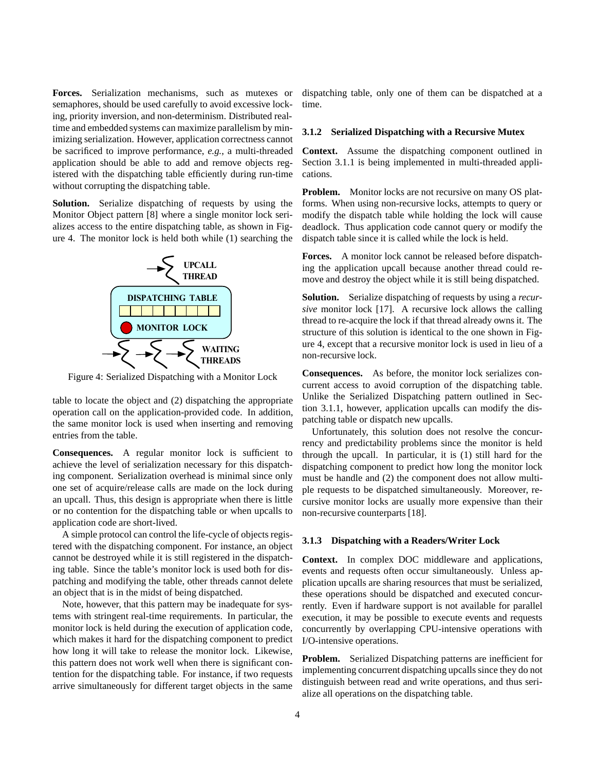**Forces.** Serialization mechanisms, such as mutexes or semaphores, should be used carefully to avoid excessive locking, priority inversion, and non-determinism. Distributed realtime and embedded systems can maximize parallelism by minimizing serialization. However, application correctness cannot be sacrificed to improve performance, *e.g.*, a multi-threaded application should be able to add and remove objects registered with the dispatching table efficiently during run-time without corrupting the dispatching table.

**Solution.** Serialize dispatching of requests by using the Monitor Object pattern [8] where a single monitor lock serializes access to the entire dispatching table, as shown in Figure 4. The monitor lock is held both while (1) searching the



Figure 4: Serialized Dispatching with a Monitor Lock

table to locate the object and (2) dispatching the appropriate operation call on the application-provided code. In addition, the same monitor lock is used when inserting and removing entries from the table.

**Consequences.** A regular monitor lock is sufficient to achieve the level of serialization necessary for this dispatching component. Serialization overhead is minimal since only one set of acquire/release calls are made on the lock during an upcall. Thus, this design is appropriate when there is little or no contention for the dispatching table or when upcalls to application code are short-lived.

A simple protocol can control the life-cycle of objects registered with the dispatching component. For instance, an object cannot be destroyed while it is still registered in the dispatching table. Since the table's monitor lock is used both for dispatching and modifying the table, other threads cannot delete an object that is in the midst of being dispatched.

Note, however, that this pattern may be inadequate for systems with stringent real-time requirements. In particular, the monitor lock is held during the execution of application code, which makes it hard for the dispatching component to predict how long it will take to release the monitor lock. Likewise, this pattern does not work well when there is significant contention for the dispatching table. For instance, if two requests arrive simultaneously for different target objects in the same

dispatching table, only one of them can be dispatched at a time.

#### **3.1.2 Serialized Dispatching with a Recursive Mutex**

**Context.** Assume the dispatching component outlined in Section 3.1.1 is being implemented in multi-threaded applications.

**Problem.** Monitor locks are not recursive on many OS platforms. When using non-recursive locks, attempts to query or modify the dispatch table while holding the lock will cause deadlock. Thus application code cannot query or modify the dispatch table since it is called while the lock is held.

**Forces.** A monitor lock cannot be released before dispatching the application upcall because another thread could remove and destroy the object while it is still being dispatched.

**Solution.** Serialize dispatching of requests by using a *recursive* monitor lock [17]. A recursive lock allows the calling thread to re-acquire the lock if that thread already owns it. The structure of this solution is identical to the one shown in Figure 4, except that a recursive monitor lock is used in lieu of a non-recursive lock.

**Consequences.** As before, the monitor lock serializes concurrent access to avoid corruption of the dispatching table. Unlike the Serialized Dispatching pattern outlined in Section 3.1.1, however, application upcalls can modify the dispatching table or dispatch new upcalls.

Unfortunately, this solution does not resolve the concurrency and predictability problems since the monitor is held through the upcall. In particular, it is (1) still hard for the dispatching component to predict how long the monitor lock must be handle and (2) the component does not allow multiple requests to be dispatched simultaneously. Moreover, recursive monitor locks are usually more expensive than their non-recursive counterparts [18].

#### **3.1.3 Dispatching with a Readers/Writer Lock**

**Context.** In complex DOC middleware and applications, events and requests often occur simultaneously. Unless application upcalls are sharing resources that must be serialized, these operations should be dispatched and executed concurrently. Even if hardware support is not available for parallel execution, it may be possible to execute events and requests concurrently by overlapping CPU-intensive operations with I/O-intensive operations.

**Problem.** Serialized Dispatching patterns are inefficient for implementing concurrent dispatching upcalls since they do not distinguish between read and write operations, and thus serialize all operations on the dispatching table.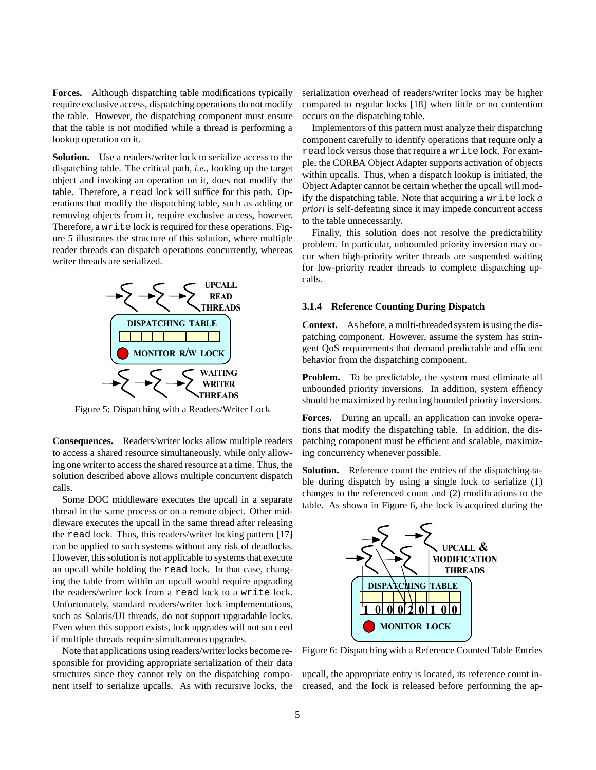**Forces.** Although dispatching table modifications typically require exclusive access, dispatching operations do not modify the table. However, the dispatching component must ensure that the table is not modified while a thread is performing a lookup operation on it.

**Solution.** Use a readers/writer lock to serialize access to the dispatching table. The critical path, *i.e.*, looking up the target object and invoking an operation on it, does not modify the table. Therefore, a read lock will suffice for this path. Operations that modify the dispatching table, such as adding or removing objects from it, require exclusive access, however. Therefore, a write lock is required for these operations. Figure 5 illustrates the structure of this solution, where multiple reader threads can dispatch operations concurrently, whereas writer threads are serialized.



Figure 5: Dispatching with a Readers/Writer Lock

**Consequences.** Readers/writer locks allow multiple readers to access a shared resource simultaneously, while only allowing one writer to access the shared resource at a time. Thus, the solution described above allows multiple concurrent dispatch calls.

Some DOC middleware executes the upcall in a separate thread in the same process or on a remote object. Other middleware executes the upcall in the same thread after releasing the read lock. Thus, this readers/writer locking pattern [17] can be applied to such systems without any risk of deadlocks. However, this solution is not applicable to systems that execute an upcall while holding the read lock. In that case, changing the table from within an upcall would require upgrading the readers/writer lock from a read lock to a write lock. Unfortunately, standard readers/writer lock implementations, such as Solaris/UI threads, do not support upgradable locks. Even when this support exists, lock upgrades will not succeed if multiple threads require simultaneous upgrades.

Note that applications using readers/writer locks become responsible for providing appropriate serialization of their data structures since they cannot rely on the dispatching component itself to serialize upcalls. As with recursive locks, the serialization overhead of readers/writer locks may be higher compared to regular locks [18] when little or no contention occurs on the dispatching table.

Implementors of this pattern must analyze their dispatching component carefully to identify operations that require only a read lock versus those that require a write lock. For example, the CORBA Object Adapter supports activation of objects within upcalls. Thus, when a dispatch lookup is initiated, the Object Adapter cannot be certain whether the upcall will modify the dispatching table. Note that acquiring a write lock *a priori* is self-defeating since it may impede concurrent access to the table unnecessarily.

Finally, this solution does not resolve the predictability problem. In particular, unbounded priority inversion may occur when high-priority writer threads are suspended waiting for low-priority reader threads to complete dispatching upcalls.

#### **3.1.4 Reference Counting During Dispatch**

**Context.** As before, a multi-threaded system is using the dispatching component. However, assume the system has stringent QoS requirements that demand predictable and efficient behavior from the dispatching component.

**Problem.** To be predictable, the system must eliminate all unbounded priority inversions. In addition, system effiency should be maximized by reducing bounded priority inversions.

**Forces.** During an upcall, an application can invoke operations that modify the dispatching table. In addition, the dispatching component must be efficient and scalable, maximizing concurrency whenever possible.

**Solution.** Reference count the entries of the dispatching table during dispatch by using a single lock to serialize (1) changes to the referenced count and (2) modifications to the table. As shown in Figure 6, the lock is acquired during the



Figure 6: Dispatching with a Reference Counted Table Entries

upcall, the appropriate entry is located, its reference count increased, and the lock is released before performing the ap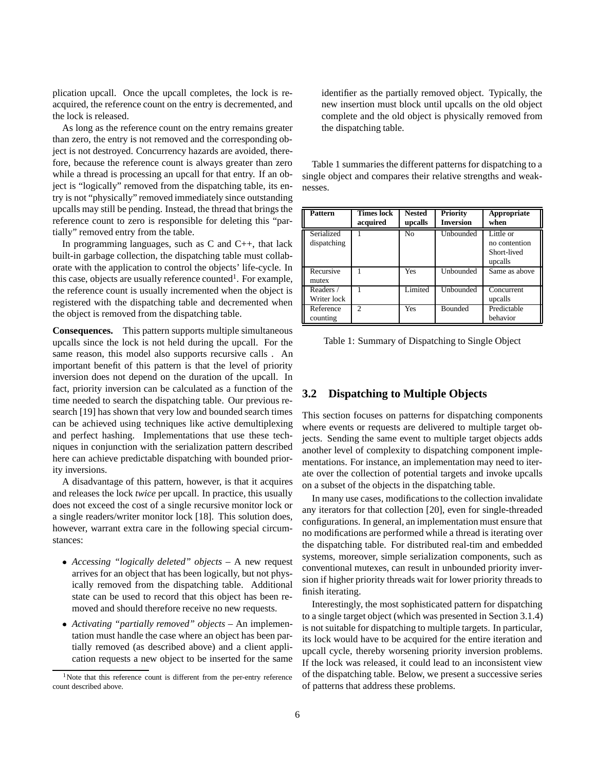plication upcall. Once the upcall completes, the lock is reacquired, the reference count on the entry is decremented, and the lock is released.

As long as the reference count on the entry remains greater than zero, the entry is not removed and the corresponding object is not destroyed. Concurrency hazards are avoided, therefore, because the reference count is always greater than zero while a thread is processing an upcall for that entry. If an object is "logically" removed from the dispatching table, its entry is not "physically" removed immediately since outstanding upcalls may still be pending. Instead, the thread that brings the reference count to zero is responsible for deleting this "partially" removed entry from the table.

In programming languages, such as  $C$  and  $C_{++}$ , that lack built-in garbage collection, the dispatching table must collaborate with the application to control the objects' life-cycle. In this case, objects are usually reference counted<sup>1</sup>. For example, the reference count is usually incremented when the object is registered with the dispatching table and decremented when the object is removed from the dispatching table.

**Consequences.** This pattern supports multiple simultaneous upcalls since the lock is not held during the upcall. For the same reason, this model also supports recursive calls . An important benefit of this pattern is that the level of priority inversion does not depend on the duration of the upcall. In fact, priority inversion can be calculated as a function of the time needed to search the dispatching table. Our previous research [19] has shown that very low and bounded search times can be achieved using techniques like active demultiplexing and perfect hashing. Implementations that use these techniques in conjunction with the serialization pattern described here can achieve predictable dispatching with bounded priority inversions.

A disadvantage of this pattern, however, is that it acquires and releases the lock *twice* per upcall. In practice, this usually does not exceed the cost of a single recursive monitor lock or a single readers/writer monitor lock [18]. This solution does, however, warrant extra care in the following special circumstances:

- *Accessing "logically deleted" objects* A new request arrives for an object that has been logically, but not physically removed from the dispatching table. Additional state can be used to record that this object has been removed and should therefore receive no new requests.
- *Activating "partially removed" objects* An implementation must handle the case where an object has been partially removed (as described above) and a client application requests a new object to be inserted for the same

identifier as the partially removed object. Typically, the new insertion must block until upcalls on the old object complete and the old object is physically removed from the dispatching table.

Table 1 summaries the different patterns for dispatching to a single object and compares their relative strengths and weaknesses.

| Pattern                   | <b>Times lock</b><br>acquired | <b>Nested</b><br>upcalls | <b>Priority</b><br><b>Inversion</b> | Appropriate<br>when                                  |
|---------------------------|-------------------------------|--------------------------|-------------------------------------|------------------------------------------------------|
| Serialized<br>dispatching |                               | N <sub>0</sub>           | Unbounded                           | Little or<br>no contention<br>Short-lived<br>upcalls |
| Recursive<br>mutex        |                               | Yes                      | Unbounded                           | Same as above                                        |
| Readers /<br>Writer lock  |                               | Limited                  | Unbounded                           | Concurrent<br>upcalls                                |
| Reference<br>counting     | $\mathfrak{D}$                | Yes                      | <b>Bounded</b>                      | Predictable<br>behavior                              |

Table 1: Summary of Dispatching to Single Object

### **3.2 Dispatching to Multiple Objects**

This section focuses on patterns for dispatching components where events or requests are delivered to multiple target objects. Sending the same event to multiple target objects adds another level of complexity to dispatching component implementations. For instance, an implementation may need to iterate over the collection of potential targets and invoke upcalls on a subset of the objects in the dispatching table.

In many use cases, modifications to the collection invalidate any iterators for that collection [20], even for single-threaded configurations. In general, an implementation must ensure that no modifications are performed while a thread is iterating over the dispatching table. For distributed real-tim and embedded systems, moreover, simple serialization components, such as conventional mutexes, can result in unbounded priority inversion if higher priority threads wait for lower priority threads to finish iterating.

Interestingly, the most sophisticated pattern for dispatching to a single target object (which was presented in Section 3.1.4) is not suitable for dispatching to multiple targets. In particular, its lock would have to be acquired for the entire iteration and upcall cycle, thereby worsening priority inversion problems. If the lock was released, it could lead to an inconsistent view of the dispatching table. Below, we present a successive series of patterns that address these problems.

<sup>&</sup>lt;sup>1</sup>Note that this reference count is different from the per-entry reference count described above.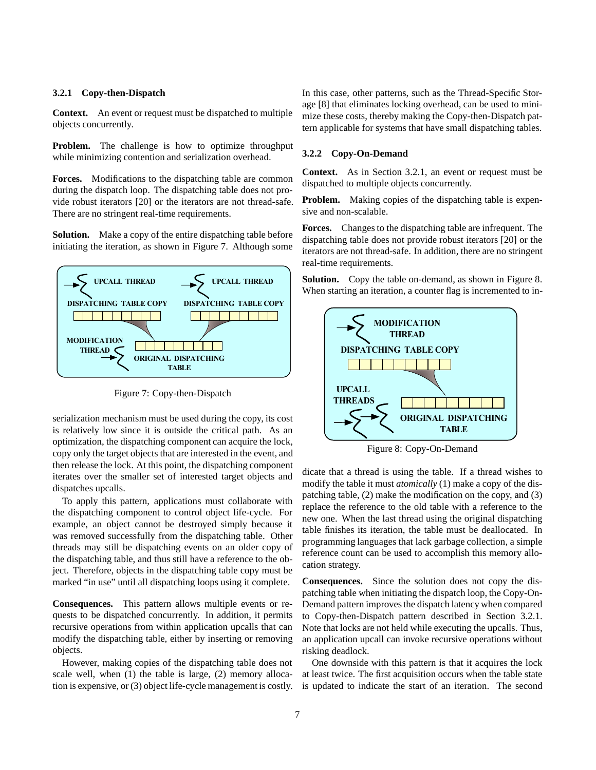#### **3.2.1 Copy-then-Dispatch**

**Context.** An event or request must be dispatched to multiple objects concurrently.

**Problem.** The challenge is how to optimize throughput while minimizing contention and serialization overhead.

**Forces.** Modifications to the dispatching table are common during the dispatch loop. The dispatching table does not provide robust iterators [20] or the iterators are not thread-safe. There are no stringent real-time requirements.

**Solution.** Make a copy of the entire dispatching table before initiating the iteration, as shown in Figure 7. Although some



Figure 7: Copy-then-Dispatch

serialization mechanism must be used during the copy, its cost is relatively low since it is outside the critical path. As an optimization, the dispatching component can acquire the lock, copy only the target objects that are interested in the event, and then release the lock. At this point, the dispatching component iterates over the smaller set of interested target objects and dispatches upcalls.

To apply this pattern, applications must collaborate with the dispatching component to control object life-cycle. For example, an object cannot be destroyed simply because it was removed successfully from the dispatching table. Other threads may still be dispatching events on an older copy of the dispatching table, and thus still have a reference to the object. Therefore, objects in the dispatching table copy must be marked "in use" until all dispatching loops using it complete.

**Consequences.** This pattern allows multiple events or requests to be dispatched concurrently. In addition, it permits recursive operations from within application upcalls that can modify the dispatching table, either by inserting or removing objects.

However, making copies of the dispatching table does not scale well, when (1) the table is large, (2) memory allocation is expensive, or (3) object life-cycle management is costly. In this case, other patterns, such as the Thread-Specific Storage [8] that eliminates locking overhead, can be used to minimize these costs, thereby making the Copy-then-Dispatch pattern applicable for systems that have small dispatching tables.

#### **3.2.2 Copy-On-Demand**

**Context.** As in Section 3.2.1, an event or request must be dispatched to multiple objects concurrently.

**Problem.** Making copies of the dispatching table is expensive and non-scalable.

**Forces.** Changes to the dispatching table are infrequent. The dispatching table does not provide robust iterators [20] or the iterators are not thread-safe. In addition, there are no stringent real-time requirements.

**Solution.** Copy the table on-demand, as shown in Figure 8. When starting an iteration, a counter flag is incremented to in-



Figure 8: Copy-On-Demand

dicate that a thread is using the table. If a thread wishes to modify the table it must *atomically* (1) make a copy of the dispatching table, (2) make the modification on the copy, and (3) replace the reference to the old table with a reference to the new one. When the last thread using the original dispatching table finishes its iteration, the table must be deallocated. In programming languages that lack garbage collection, a simple reference count can be used to accomplish this memory allocation strategy.

**Consequences.** Since the solution does not copy the dispatching table when initiating the dispatch loop, the Copy-On-Demand pattern improves the dispatch latency when compared to Copy-then-Dispatch pattern described in Section 3.2.1. Note that locks are not held while executing the upcalls. Thus, an application upcall can invoke recursive operations without risking deadlock.

One downside with this pattern is that it acquires the lock at least twice. The first acquisition occurs when the table state is updated to indicate the start of an iteration. The second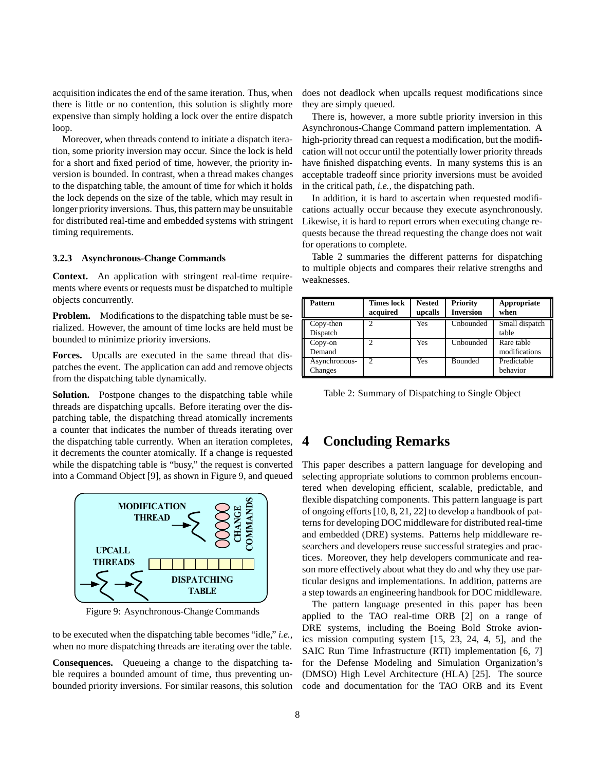acquisition indicates the end of the same iteration. Thus, when there is little or no contention, this solution is slightly more expensive than simply holding a lock over the entire dispatch loop.

Moreover, when threads contend to initiate a dispatch iteration, some priority inversion may occur. Since the lock is held for a short and fixed period of time, however, the priority inversion is bounded. In contrast, when a thread makes changes to the dispatching table, the amount of time for which it holds the lock depends on the size of the table, which may result in longer priority inversions. Thus, this pattern may be unsuitable for distributed real-time and embedded systems with stringent timing requirements.

#### **3.2.3 Asynchronous-Change Commands**

**Context.** An application with stringent real-time requirements where events or requests must be dispatched to multiple objects concurrently.

**Problem.** Modifications to the dispatching table must be serialized. However, the amount of time locks are held must be bounded to minimize priority inversions.

**Forces.** Upcalls are executed in the same thread that dispatches the event. The application can add and remove objects from the dispatching table dynamically.

**Solution.** Postpone changes to the dispatching table while threads are dispatching upcalls. Before iterating over the dispatching table, the dispatching thread atomically increments a counter that indicates the number of threads iterating over the dispatching table currently. When an iteration completes, it decrements the counter atomically. If a change is requested while the dispatching table is "busy," the request is converted into a Command Object [9], as shown in Figure 9, and queued



Figure 9: Asynchronous-Change Commands

to be executed when the dispatching table becomes "idle," *i.e.*, when no more dispatching threads are iterating over the table.

**Consequences.** Queueing a change to the dispatching table requires a bounded amount of time, thus preventing unbounded priority inversions. For similar reasons, this solution does not deadlock when upcalls request modifications since they are simply queued.

There is, however, a more subtle priority inversion in this Asynchronous-Change Command pattern implementation. A high-priority thread can request a modification, but the modification will not occur until the potentially lower priority threads have finished dispatching events. In many systems this is an acceptable tradeoff since priority inversions must be avoided in the critical path, *i.e.*, the dispatching path.

In addition, it is hard to ascertain when requested modifications actually occur because they execute asynchronously. Likewise, it is hard to report errors when executing change requests because the thread requesting the change does not wait for operations to complete.

| <b>Pattern</b>           | <b>Times lock</b><br>acquired | <b>Nested</b><br>upcalls | <b>Priority</b><br><b>Inversion</b> | Appropriate<br>when         |
|--------------------------|-------------------------------|--------------------------|-------------------------------------|-----------------------------|
| Copy-then<br>Dispatch    |                               | Yes                      | Unbounded                           | Small dispatch<br>table     |
| $Copy-on$<br>Demand      | $\overline{2}$                | Yes                      | Unbounded                           | Rare table<br>modifications |
| Asynchronous-<br>Changes | $\overline{c}$                | Yes                      | <b>Bounded</b>                      | Predictable<br>behavior     |

Table 2 summaries the different patterns for dispatching to multiple objects and compares their relative strengths and weaknesses.

Table 2: Summary of Dispatching to Single Object

## **4 Concluding Remarks**

This paper describes a pattern language for developing and selecting appropriate solutions to common problems encountered when developing efficient, scalable, predictable, and flexible dispatching components. This pattern language is part of ongoing efforts [10, 8, 21, 22] to develop a handbook of patterns for developing DOC middleware for distributed real-time and embedded (DRE) systems. Patterns help middleware researchers and developers reuse successful strategies and practices. Moreover, they help developers communicate and reason more effectively about what they do and why they use particular designs and implementations. In addition, patterns are a step towards an engineering handbook for DOC middleware.

The pattern language presented in this paper has been applied to the TAO real-time ORB [2] on a range of DRE systems, including the Boeing Bold Stroke avionics mission computing system [15, 23, 24, 4, 5], and the SAIC Run Time Infrastructure (RTI) implementation [6, 7] for the Defense Modeling and Simulation Organization's (DMSO) High Level Architecture (HLA) [25]. The source code and documentation for the TAO ORB and its Event